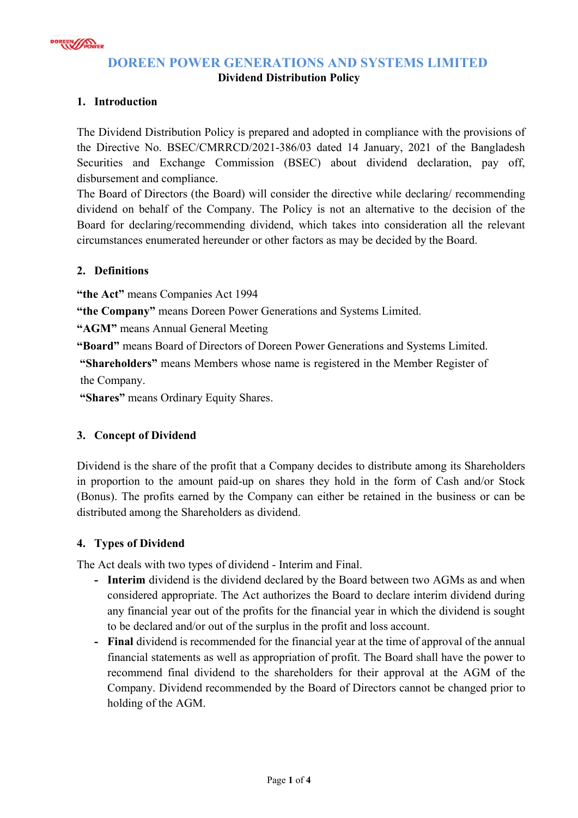

# **DOREEN POWER GENERATIONS AND SYSTEMS LIMITED**

### **Dividend Distribution Policy**

## **1. Introduction**

The Dividend Distribution Policy is prepared and adopted in compliance with the provisions of the Directive No. BSEC/CMRRCD/2021-386/03 dated 14 January, 2021 of the Bangladesh Securities and Exchange Commission (BSEC) about dividend declaration, pay off, disbursement and compliance.

The Board of Directors (the Board) will consider the directive while declaring/ recommending dividend on behalf of the Company. The Policy is not an alternative to the decision of the Board for declaring/recommending dividend, which takes into consideration all the relevant circumstances enumerated hereunder or other factors as may be decided by the Board.

### **2. Definitions**

**"the Act"** means Companies Act 1994

**"the Company"** means Doreen Power Generations and Systems Limited.

**"AGM"** means Annual General Meeting

**"Board"** means Board of Directors of Doreen Power Generations and Systems Limited.

 **"Shareholders"** means Members whose name is registered in the Member Register of the Company.

 **"Shares"** means Ordinary Equity Shares.

## **3. Concept of Dividend**

Dividend is the share of the profit that a Company decides to distribute among its Shareholders in proportion to the amount paid-up on shares they hold in the form of Cash and/or Stock (Bonus). The profits earned by the Company can either be retained in the business or can be distributed among the Shareholders as dividend.

## **4. Types of Dividend**

The Act deals with two types of dividend - Interim and Final.

- **Interim** dividend is the dividend declared by the Board between two AGMs as and when considered appropriate. The Act authorizes the Board to declare interim dividend during any financial year out of the profits for the financial year in which the dividend is sought to be declared and/or out of the surplus in the profit and loss account.
- **Final** dividend is recommended for the financial year at the time of approval of the annual financial statements as well as appropriation of profit. The Board shall have the power to recommend final dividend to the shareholders for their approval at the AGM of the Company. Dividend recommended by the Board of Directors cannot be changed prior to holding of the AGM.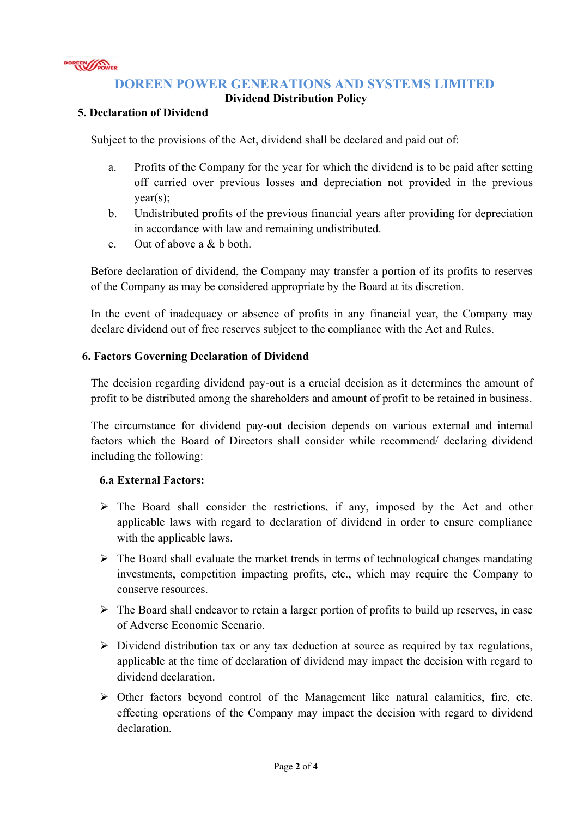

## **DOREEN POWER GENERATIONS AND SYSTEMS LIMITED**

#### **Dividend Distribution Policy**

#### **5. Declaration of Dividend**

Subject to the provisions of the Act, dividend shall be declared and paid out of:

- a. Profits of the Company for the year for which the dividend is to be paid after setting off carried over previous losses and depreciation not provided in the previous year(s);
- b. Undistributed profits of the previous financial years after providing for depreciation in accordance with law and remaining undistributed.
- c. Out of above a & b both.

Before declaration of dividend, the Company may transfer a portion of its profits to reserves of the Company as may be considered appropriate by the Board at its discretion.

In the event of inadequacy or absence of profits in any financial year, the Company may declare dividend out of free reserves subject to the compliance with the Act and Rules.

#### **6. Factors Governing Declaration of Dividend**

The decision regarding dividend pay-out is a crucial decision as it determines the amount of profit to be distributed among the shareholders and amount of profit to be retained in business.

The circumstance for dividend pay-out decision depends on various external and internal factors which the Board of Directors shall consider while recommend/ declaring dividend including the following:

#### **6.a External Factors:**

- $\triangleright$  The Board shall consider the restrictions, if any, imposed by the Act and other applicable laws with regard to declaration of dividend in order to ensure compliance with the applicable laws.
- $\triangleright$  The Board shall evaluate the market trends in terms of technological changes mandating investments, competition impacting profits, etc., which may require the Company to conserve resources.
- $\triangleright$  The Board shall endeavor to retain a larger portion of profits to build up reserves, in case of Adverse Economic Scenario.
- $\triangleright$  Dividend distribution tax or any tax deduction at source as required by tax regulations, applicable at the time of declaration of dividend may impact the decision with regard to dividend declaration.
- $\triangleright$  Other factors beyond control of the Management like natural calamities, fire, etc. effecting operations of the Company may impact the decision with regard to dividend declaration.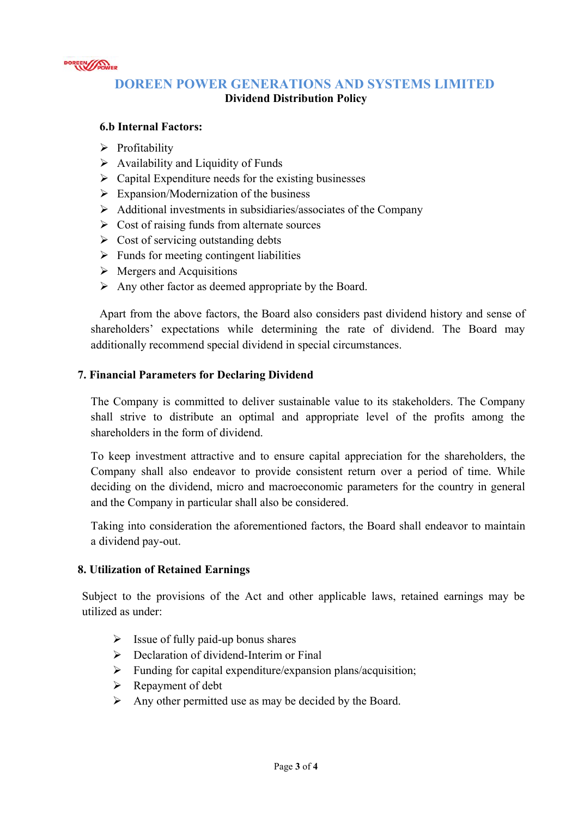

# **DOREEN POWER GENERATIONS AND SYSTEMS LIMITED Dividend Distribution Policy**

#### **6.b Internal Factors:**

- $\triangleright$  Profitability
- $\triangleright$  Availability and Liquidity of Funds
- $\triangleright$  Capital Expenditure needs for the existing businesses
- $\triangleright$  Expansion/Modernization of the business
- $\triangleright$  Additional investments in subsidiaries/associates of the Company
- $\triangleright$  Cost of raising funds from alternate sources
- $\triangleright$  Cost of servicing outstanding debts
- $\triangleright$  Funds for meeting contingent liabilities
- $\triangleright$  Mergers and Acquisitions
- $\triangleright$  Any other factor as deemed appropriate by the Board.

Apart from the above factors, the Board also considers past dividend history and sense of shareholders' expectations while determining the rate of dividend. The Board may additionally recommend special dividend in special circumstances.

#### **7. Financial Parameters for Declaring Dividend**

The Company is committed to deliver sustainable value to its stakeholders. The Company shall strive to distribute an optimal and appropriate level of the profits among the shareholders in the form of dividend.

To keep investment attractive and to ensure capital appreciation for the shareholders, the Company shall also endeavor to provide consistent return over a period of time. While deciding on the dividend, micro and macroeconomic parameters for the country in general and the Company in particular shall also be considered.

Taking into consideration the aforementioned factors, the Board shall endeavor to maintain a dividend pay-out.

#### **8. Utilization of Retained Earnings**

Subject to the provisions of the Act and other applicable laws, retained earnings may be utilized as under:

- $\triangleright$  Issue of fully paid-up bonus shares
- Declaration of dividend-Interim or Final
- $\triangleright$  Funding for capital expenditure/expansion plans/acquisition;
- $\triangleright$  Repayment of debt
- $\triangleright$  Any other permitted use as may be decided by the Board.